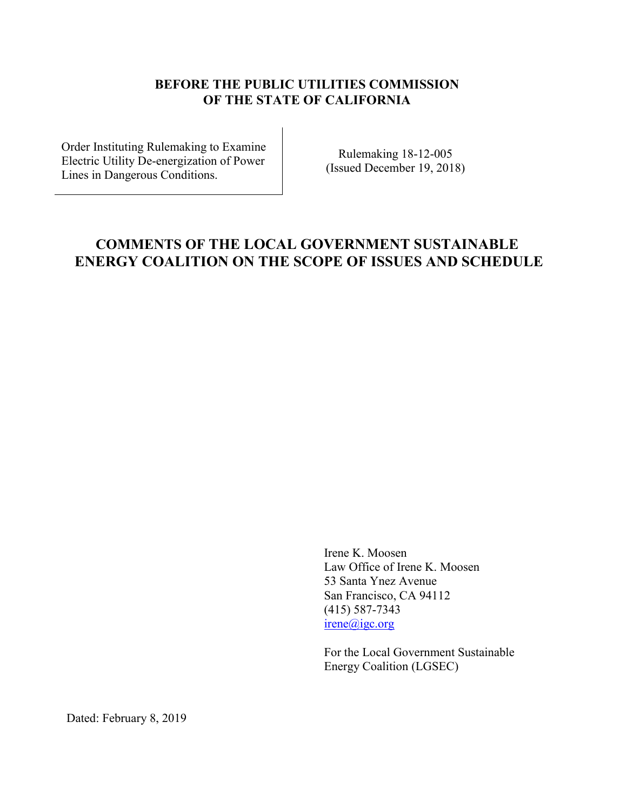## **BEFORE THE PUBLIC UTILITIES COMMISSION OF THE STATE OF CALIFORNIA**

Order Instituting Rulemaking to Examine Electric Utility De-energization of Power Lines in Dangerous Conditions.

Rulemaking 18-12-005 (Issued December 19, 2018)

## **COMMENTS OF THE LOCAL GOVERNMENT SUSTAINABLE ENERGY COALITION ON THE SCOPE OF ISSUES AND SCHEDULE**

Irene K. Moosen Law Office of Irene K. Moosen 53 Santa Ynez Avenue San Francisco, CA 94112 (415) 587-7343 irene@igc.org

For the Local Government Sustainable Energy Coalition (LGSEC)

Dated: February 8, 2019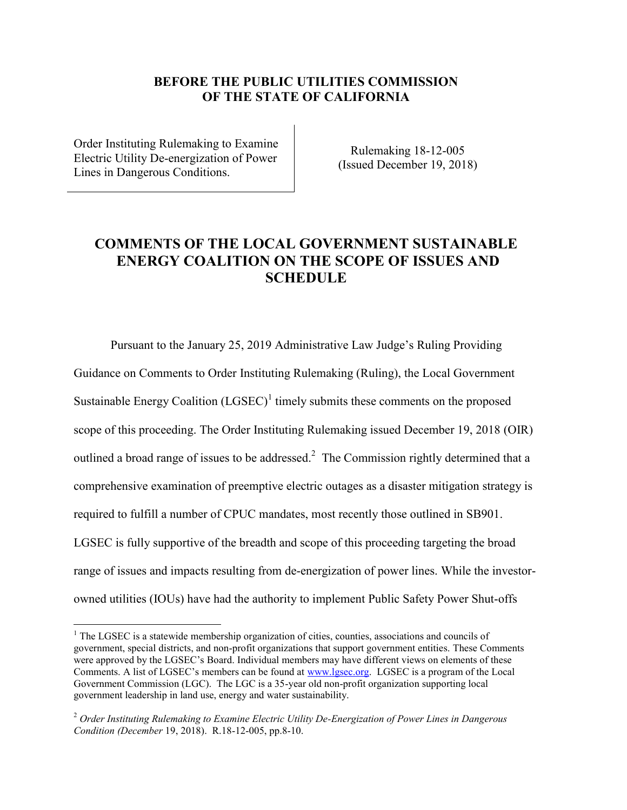## **BEFORE THE PUBLIC UTILITIES COMMISSION OF THE STATE OF CALIFORNIA**

Order Instituting Rulemaking to Examine Electric Utility De-energization of Power Lines in Dangerous Conditions.

 $\overline{a}$ 

Rulemaking 18-12-005 (Issued December 19, 2018)

## **COMMENTS OF THE LOCAL GOVERNMENT SUSTAINABLE ENERGY COALITION ON THE SCOPE OF ISSUES AND SCHEDULE**

Pursuant to the January 25, 2019 Administrative Law Judge's Ruling Providing Guidance on Comments to Order Instituting Rulemaking (Ruling), the Local Government Sustainable Energy Coalition  $(LGSEC)^1$  timely submits these comments on the proposed scope of this proceeding. The Order Instituting Rulemaking issued December 19, 2018 (OIR) outlined a broad range of issues to be addressed.<sup>2</sup> The Commission rightly determined that a comprehensive examination of preemptive electric outages as a disaster mitigation strategy is required to fulfill a number of CPUC mandates, most recently those outlined in SB901. LGSEC is fully supportive of the breadth and scope of this proceeding targeting the broad range of issues and impacts resulting from de-energization of power lines. While the investorowned utilities (IOUs) have had the authority to implement Public Safety Power Shut-offs

 $1$  The LGSEC is a statewide membership organization of cities, counties, associations and councils of government, special districts, and non-profit organizations that support government entities. These Comments were approved by the LGSEC's Board. Individual members may have different views on elements of these Comments. A list of LGSEC's members can be found at [www.lgsec.org.](http://www.lgsec.org/) LGSEC is a program of the Local Government Commission (LGC). The LGC is a 35-year old non-profit organization supporting local government leadership in land use, energy and water sustainability.

<sup>2</sup> *Order Instituting Rulemaking to Examine Electric Utility De-Energization of Power Lines in Dangerous Condition (December* 19, 2018). R.18-12-005, pp.8-10.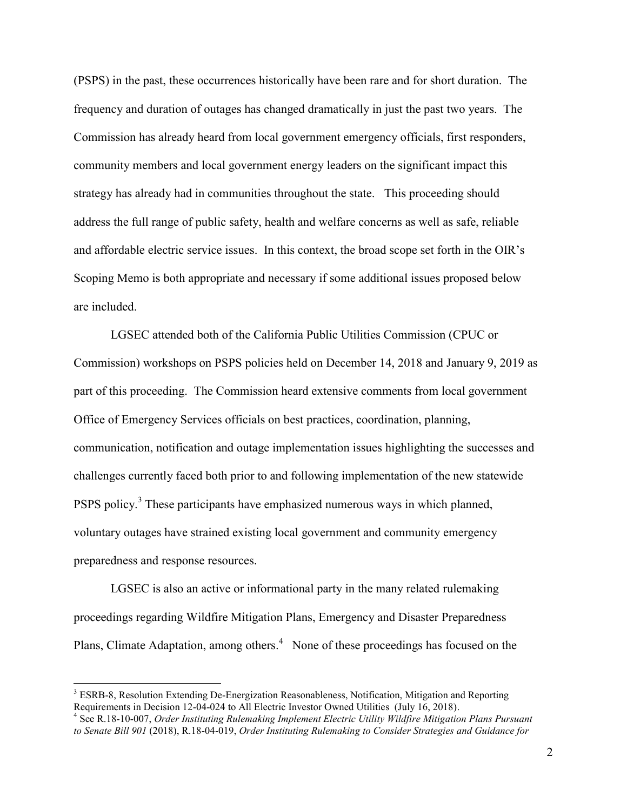(PSPS) in the past, these occurrences historically have been rare and for short duration. The frequency and duration of outages has changed dramatically in just the past two years. The Commission has already heard from local government emergency officials, first responders, community members and local government energy leaders on the significant impact this strategy has already had in communities throughout the state. This proceeding should address the full range of public safety, health and welfare concerns as well as safe, reliable and affordable electric service issues. In this context, the broad scope set forth in the OIR's Scoping Memo is both appropriate and necessary if some additional issues proposed below are included.

LGSEC attended both of the California Public Utilities Commission (CPUC or Commission) workshops on PSPS policies held on December 14, 2018 and January 9, 2019 as part of this proceeding. The Commission heard extensive comments from local government Office of Emergency Services officials on best practices, coordination, planning, communication, notification and outage implementation issues highlighting the successes and challenges currently faced both prior to and following implementation of the new statewide PSPS policy.<sup>3</sup> These participants have emphasized numerous ways in which planned, voluntary outages have strained existing local government and community emergency preparedness and response resources.

LGSEC is also an active or informational party in the many related rulemaking proceedings regarding Wildfire Mitigation Plans, Emergency and Disaster Preparedness Plans, Climate Adaptation, among others. $4$  None of these proceedings has focused on the

 $\overline{a}$ 

<sup>&</sup>lt;sup>3</sup> ESRB-8, Resolution Extending De-Energization Reasonableness, Notification, Mitigation and Reporting Requirements in Decision 12-04-024 to All Electric Investor Owned Utilities (July 16, 2018).

<sup>&</sup>lt;sup>4</sup> See R.18-10-007, Order Instituting Rulemaking Implement Electric Utility Wildfire Mitigation Plans Pursuant *to Senate Bill 901* (2018), R.18-04-019, *Order Instituting Rulemaking to Consider Strategies and Guidance for*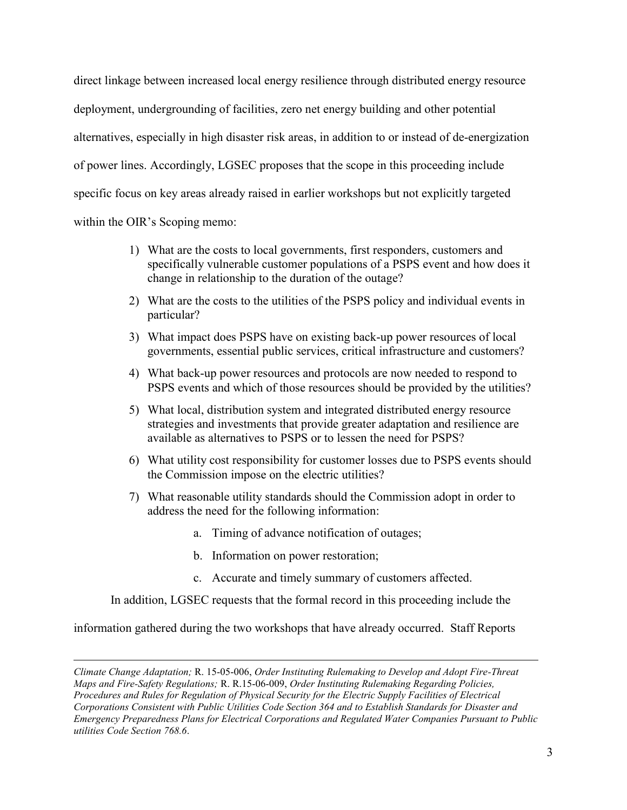direct linkage between increased local energy resilience through distributed energy resource deployment, undergrounding of facilities, zero net energy building and other potential alternatives, especially in high disaster risk areas, in addition to or instead of de-energization of power lines. Accordingly, LGSEC proposes that the scope in this proceeding include specific focus on key areas already raised in earlier workshops but not explicitly targeted within the OIR's Scoping memo:

- 1) What are the costs to local governments, first responders, customers and specifically vulnerable customer populations of a PSPS event and how does it change in relationship to the duration of the outage?
- 2) What are the costs to the utilities of the PSPS policy and individual events in particular?
- 3) What impact does PSPS have on existing back-up power resources of local governments, essential public services, critical infrastructure and customers?
- 4) What back-up power resources and protocols are now needed to respond to PSPS events and which of those resources should be provided by the utilities?
- 5) What local, distribution system and integrated distributed energy resource strategies and investments that provide greater adaptation and resilience are available as alternatives to PSPS or to lessen the need for PSPS?
- 6) What utility cost responsibility for customer losses due to PSPS events should the Commission impose on the electric utilities?
- 7) What reasonable utility standards should the Commission adopt in order to address the need for the following information:
	- a. Timing of advance notification of outages;
	- b. Information on power restoration;
	- c. Accurate and timely summary of customers affected.

In addition, LGSEC requests that the formal record in this proceeding include the

information gathered during the two workshops that have already occurred. Staff Reports

 $\overline{a}$ 

*Climate Change Adaptation;* R. 15-05-006, *Order Instituting Rulemaking to Develop and Adopt Fire-Threat Maps and Fire-Safety Regulations;* R. R.15-06-009, *Order Instituting Rulemaking Regarding Policies, Procedures and Rules for Regulation of Physical Security for the Electric Supply Facilities of Electrical Corporations Consistent with Public Utilities Code Section 364 and to Establish Standards for Disaster and Emergency Preparedness Plans for Electrical Corporations and Regulated Water Companies Pursuant to Public utilities Code Section 768.6*.